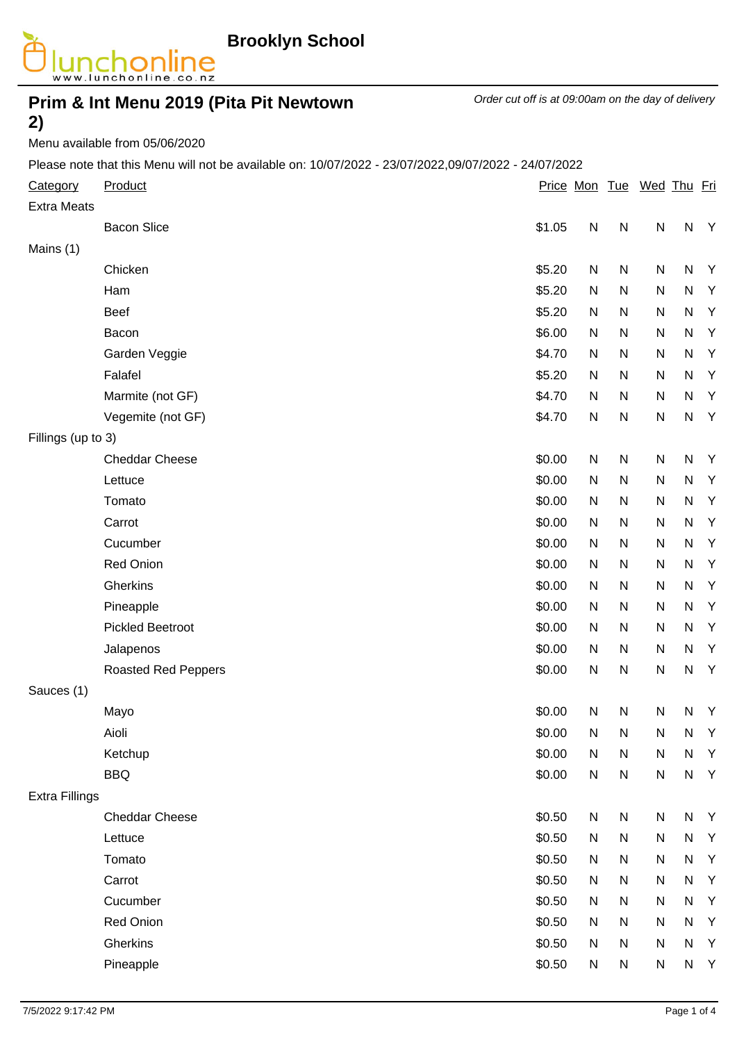

# **Prim & Int Menu 2019 (Pita Pit Newtown**

Order cut off is at 09:00am on the day of delivery

#### **2)** Menu available from 05/06/2020

Please note that this Menu will not be available on: 10/07/2022 - 23/07/2022,09/07/2022 - 24/07/2022

| Category<br><b>Extra Meats</b> | Product                    |        |           |              | Price Mon Tue Wed Thu Fri |           |              |
|--------------------------------|----------------------------|--------|-----------|--------------|---------------------------|-----------|--------------|
|                                | <b>Bacon Slice</b>         | \$1.05 | ${\sf N}$ | $\mathsf{N}$ | ${\sf N}$                 | ${\sf N}$ | Y            |
| Mains (1)                      |                            |        |           |              |                           |           |              |
|                                | Chicken                    | \$5.20 | N         | ${\sf N}$    | ${\sf N}$                 | ${\sf N}$ | Y            |
|                                | Ham                        | \$5.20 | N         | ${\sf N}$    | ${\sf N}$                 | ${\sf N}$ | Y            |
|                                | Beef                       | \$5.20 | N         | ${\sf N}$    | ${\sf N}$                 | ${\sf N}$ | Y            |
|                                | Bacon                      | \$6.00 | N         | ${\sf N}$    | ${\sf N}$                 | ${\sf N}$ | Y            |
|                                | Garden Veggie              | \$4.70 | N         | ${\sf N}$    | ${\sf N}$                 | ${\sf N}$ | Y            |
|                                | Falafel                    | \$5.20 | N         | ${\sf N}$    | ${\sf N}$                 | ${\sf N}$ | Y            |
|                                | Marmite (not GF)           | \$4.70 | N         | ${\sf N}$    | ${\sf N}$                 | ${\sf N}$ | Y            |
|                                | Vegemite (not GF)          | \$4.70 | ${\sf N}$ | ${\sf N}$    | ${\sf N}$                 | ${\sf N}$ | Y            |
| Fillings (up to 3)             |                            |        |           |              |                           |           |              |
|                                | <b>Cheddar Cheese</b>      | \$0.00 | ${\sf N}$ | ${\sf N}$    | ${\sf N}$                 | ${\sf N}$ | $\mathsf{Y}$ |
|                                | Lettuce                    | \$0.00 | N         | ${\sf N}$    | ${\sf N}$                 | ${\sf N}$ | $\mathsf{Y}$ |
|                                | Tomato                     | \$0.00 | N         | ${\sf N}$    | ${\sf N}$                 | ${\sf N}$ | Y            |
|                                | Carrot                     | \$0.00 | N         | ${\sf N}$    | ${\sf N}$                 | ${\sf N}$ | $\mathsf{Y}$ |
|                                | Cucumber                   | \$0.00 | ${\sf N}$ | ${\sf N}$    | ${\sf N}$                 | ${\sf N}$ | Y            |
|                                | Red Onion                  | \$0.00 | N         | ${\sf N}$    | ${\sf N}$                 | ${\sf N}$ | Y            |
|                                | Gherkins                   | \$0.00 | N         | ${\sf N}$    | ${\sf N}$                 | ${\sf N}$ | Y            |
|                                | Pineapple                  | \$0.00 | N         | ${\sf N}$    | ${\sf N}$                 | ${\sf N}$ | $\mathsf{Y}$ |
|                                | <b>Pickled Beetroot</b>    | \$0.00 | N         | N            | ${\sf N}$                 | ${\sf N}$ | Y            |
|                                | Jalapenos                  | \$0.00 | N         | ${\sf N}$    | ${\sf N}$                 | ${\sf N}$ | $\mathsf{Y}$ |
|                                | <b>Roasted Red Peppers</b> | \$0.00 | ${\sf N}$ | ${\sf N}$    | ${\sf N}$                 | ${\sf N}$ | Y            |
| Sauces (1)                     |                            |        |           |              |                           |           |              |
|                                | Mayo                       | \$0.00 | N         | $\mathsf{N}$ | ${\sf N}$                 | ${\sf N}$ | $\mathsf{Y}$ |
|                                | Aioli                      | \$0.00 | ${\sf N}$ | N            | ${\sf N}$                 | ${\sf N}$ | Y            |
|                                | Ketchup                    | \$0.00 | N         | ${\sf N}$    | ${\sf N}$                 | ${\sf N}$ | Y            |
|                                | <b>BBQ</b>                 | \$0.00 | ${\sf N}$ | ${\sf N}$    | ${\sf N}$                 | ${\sf N}$ | $\mathsf{Y}$ |
| <b>Extra Fillings</b>          |                            |        |           |              |                           |           |              |
|                                | <b>Cheddar Cheese</b>      | \$0.50 | ${\sf N}$ | N            | ${\sf N}$                 | ${\sf N}$ | Y            |
|                                | Lettuce                    | \$0.50 | N         | ${\sf N}$    | ${\sf N}$                 | ${\sf N}$ | Y            |
|                                | Tomato                     | \$0.50 | N         | N            | ${\sf N}$                 | ${\sf N}$ | $\mathsf{Y}$ |
|                                | Carrot                     | \$0.50 | N         | ${\sf N}$    | ${\sf N}$                 | ${\sf N}$ | Y            |
|                                | Cucumber                   | \$0.50 | N         | ${\sf N}$    | ${\sf N}$                 | ${\sf N}$ | $\mathsf{Y}$ |
|                                | Red Onion                  | \$0.50 | N         | ${\sf N}$    | ${\sf N}$                 | ${\sf N}$ | Y            |
|                                | Gherkins                   | \$0.50 | N         | ${\sf N}$    | ${\sf N}$                 | ${\sf N}$ | Y            |
|                                | Pineapple                  | \$0.50 | N         | N            | ${\sf N}$                 | ${\sf N}$ | $\mathsf{Y}$ |
|                                |                            |        |           |              |                           |           |              |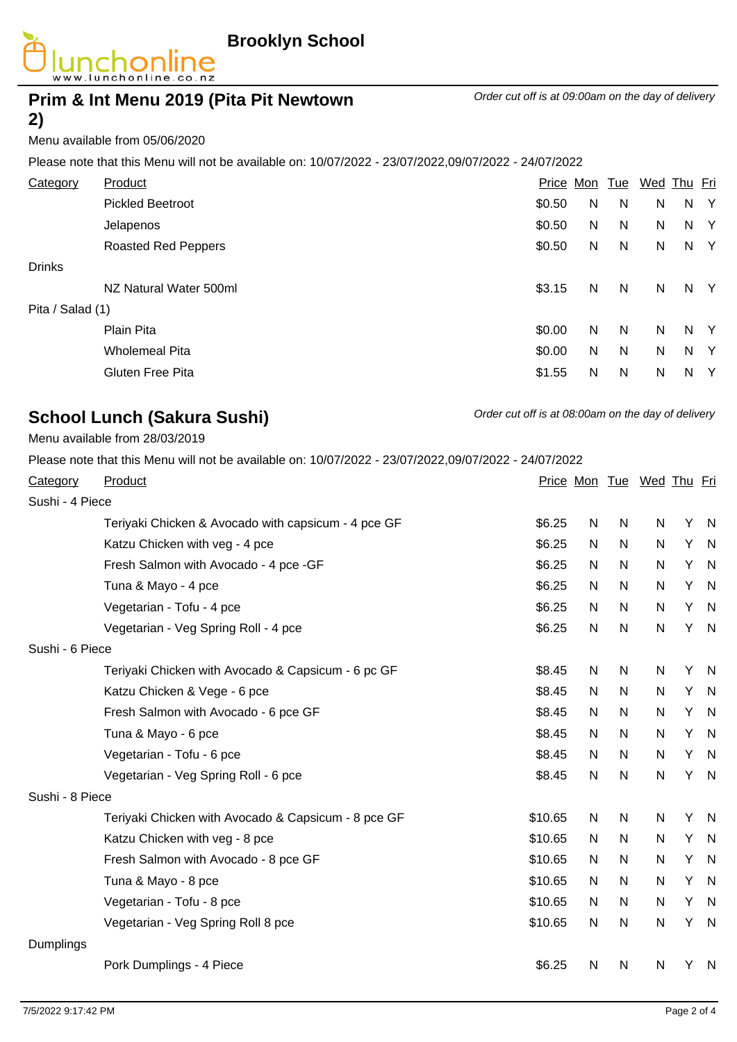

Order cut off is at 09:00am on the day of delivery

# **Prim & Int Menu 2019 (Pita Pit Newtown 2)**

#### Menu available from 05/06/2020

Please note that this Menu will not be available on: 10/07/2022 - 23/07/2022,09/07/2022 - 24/07/2022

| Category         | Product                    | Price Mon |   | <u>Tue</u> | Wed Thu Fri |    |              |
|------------------|----------------------------|-----------|---|------------|-------------|----|--------------|
|                  | <b>Pickled Beetroot</b>    | \$0.50    | N | N          | N           | N  | $\mathsf{Y}$ |
|                  | Jelapenos                  | \$0.50    | N | N          | N           | N  | <sup>N</sup> |
|                  | <b>Roasted Red Peppers</b> | \$0.50    | N | N          | N           |    | N Y          |
| <b>Drinks</b>    |                            |           |   |            |             |    |              |
|                  | NZ Natural Water 500ml     | \$3.15    | N | N          | N           |    | N Y          |
| Pita / Salad (1) |                            |           |   |            |             |    |              |
|                  | Plain Pita                 | \$0.00    | N | N          | N           | N. | Y            |
|                  | <b>Wholemeal Pita</b>      | \$0.00    | N | N          | N           | N  | <sup>Y</sup> |
|                  | <b>Gluten Free Pita</b>    | \$1.55    | N | N          | N           | N  | - Y          |
|                  |                            |           |   |            |             |    |              |

## **School Lunch (Sakura Sushi)** Order cut off is at 08:00am on the day of delivery

Menu available from 28/03/2019

Please note that this Menu will not be available on: 10/07/2022 - 23/07/2022,09/07/2022 - 24/07/2022

| Category        | Product                                             |         |           |           | Price Mon Tue Wed Thu Fri |   |                |
|-----------------|-----------------------------------------------------|---------|-----------|-----------|---------------------------|---|----------------|
| Sushi - 4 Piece |                                                     |         |           |           |                           |   |                |
|                 | Teriyaki Chicken & Avocado with capsicum - 4 pce GF | \$6.25  | ${\sf N}$ | ${\sf N}$ | ${\sf N}$                 | Υ | $\mathsf{N}$   |
|                 | Katzu Chicken with veg - 4 pce                      | \$6.25  | N         | N         | N                         | Y | -N             |
|                 | Fresh Salmon with Avocado - 4 pce - GF              | \$6.25  | N         | N         | N                         | Y | N              |
|                 | Tuna & Mayo - 4 pce                                 | \$6.25  | N.        | N         | N                         | Y | -N             |
|                 | Vegetarian - Tofu - 4 pce                           | \$6.25  | N.        | N         | N                         | Y | -N             |
|                 | Vegetarian - Veg Spring Roll - 4 pce                | \$6.25  | N         | N         | $\mathsf{N}$              | Y | - N            |
| Sushi - 6 Piece |                                                     |         |           |           |                           |   |                |
|                 | Teriyaki Chicken with Avocado & Capsicum - 6 pc GF  | \$8.45  | N         | N         | N                         | Υ | -N             |
|                 | Katzu Chicken & Vege - 6 pce                        | \$8.45  | N         | N         | N                         | Y | - N            |
|                 | Fresh Salmon with Avocado - 6 pce GF                | \$8.45  | N.        | N         | N                         | Υ | - N            |
|                 | Tuna & Mayo - 6 pce                                 | \$8.45  | N.        | N         | N                         | Υ | - N            |
|                 | Vegetarian - Tofu - 6 pce                           | \$8.45  | N.        | N         | N                         | Y | $\mathsf{N}$   |
|                 | Vegetarian - Veg Spring Roll - 6 pce                | \$8.45  | N         | N         | $\mathsf{N}$              | Y | $\mathsf{N}$   |
| Sushi - 8 Piece |                                                     |         |           |           |                           |   |                |
|                 | Teriyaki Chicken with Avocado & Capsicum - 8 pce GF | \$10.65 | N         | N         | ${\sf N}$                 | Υ | $\mathsf{N}$   |
|                 | Katzu Chicken with veg - 8 pce                      | \$10.65 | N         | N         | N                         | Y | -N             |
|                 | Fresh Salmon with Avocado - 8 pce GF                | \$10.65 | N.        | N         | N                         | Y | -N             |
|                 | Tuna & Mayo - 8 pce                                 | \$10.65 | N         | N         | N                         | Y | -N             |
|                 | Vegetarian - Tofu - 8 pce                           | \$10.65 | N.        | N         | N                         | Y | -N             |
|                 | Vegetarian - Veg Spring Roll 8 pce                  | \$10.65 | N         | N         | $\mathsf{N}$              | Υ | N              |
| Dumplings       |                                                     |         |           |           |                           |   |                |
|                 | Pork Dumplings - 4 Piece                            | \$6.25  | N         | N         | N                         | Y | $\overline{N}$ |
|                 |                                                     |         |           |           |                           |   |                |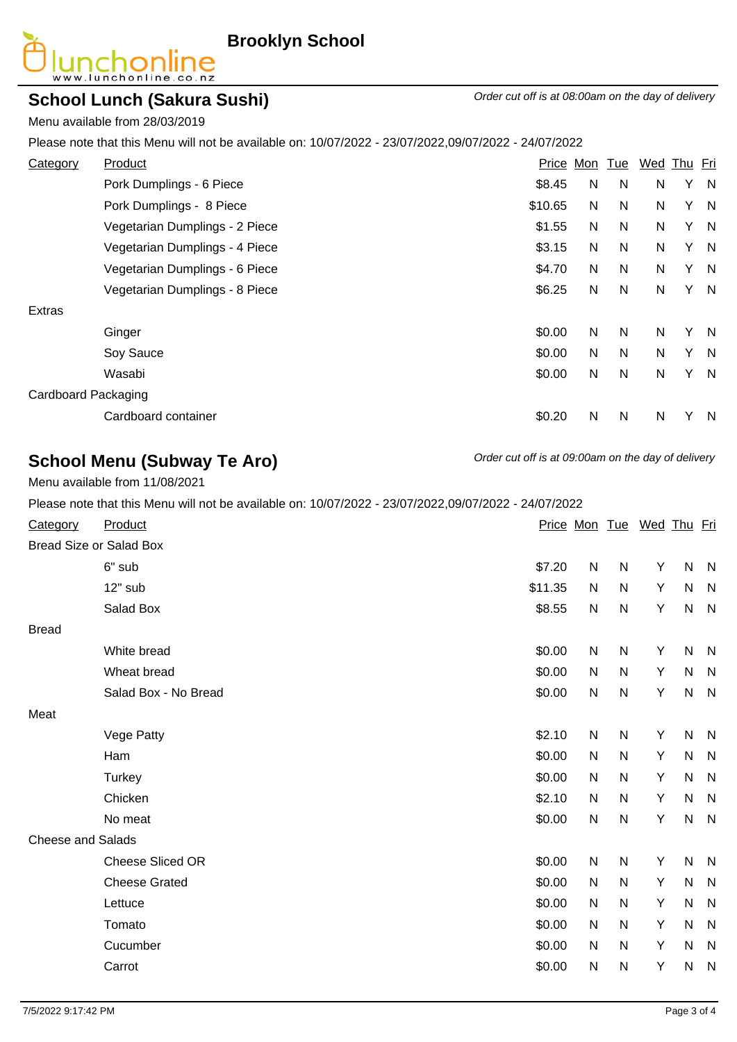

**Brooklyn School**

#### **School Lunch (Sakura Sushi)** Order cut off is at 08:00am on the day of delivery

Menu available from 28/03/2019

Please note that this Menu will not be available on: 10/07/2022 - 23/07/2022,09/07/2022 - 24/07/2022

| Category            | Product                        | Price   | Mon | <b>Tue</b> | Wed Thu Fri |   |              |
|---------------------|--------------------------------|---------|-----|------------|-------------|---|--------------|
|                     | Pork Dumplings - 6 Piece       | \$8.45  | N   | N          | N           |   | Y N          |
|                     | Pork Dumplings - 8 Piece       | \$10.65 | N   | N          | N           |   | Y N          |
|                     | Vegetarian Dumplings - 2 Piece | \$1.55  | N   | N          | N           |   | Y N          |
|                     | Vegetarian Dumplings - 4 Piece | \$3.15  | N   | N          | N           |   | Y N          |
|                     | Vegetarian Dumplings - 6 Piece | \$4.70  | N   | N          | N           |   | Y N          |
|                     | Vegetarian Dumplings - 8 Piece | \$6.25  | N   | N          | N           |   | Y N          |
| Extras              |                                |         |     |            |             |   |              |
|                     | Ginger                         | \$0.00  | N   | N          | N           | Y | N            |
|                     | Soy Sauce                      | \$0.00  | N   | N          | N           | Y | N,           |
|                     | Wasabi                         | \$0.00  | N   | N          | N           | Y | N            |
| Cardboard Packaging |                                |         |     |            |             |   |              |
|                     | Cardboard container            | \$0.20  | N   | N          | N           | v | <sub>N</sub> |
|                     |                                |         |     |            |             |   |              |

## **School Menu (Subway Te Aro)** Order cut off is at 09:00am on the day of delivery

Menu available from 11/08/2021

| Please note that this Menu will not be available on: 10/07/2022 - 23/07/2022,09/07/2022 - 24/07/2022 |                                |           |           |              |                 |              |              |
|------------------------------------------------------------------------------------------------------|--------------------------------|-----------|-----------|--------------|-----------------|--------------|--------------|
| <b>Category</b>                                                                                      | Product                        | Price Mon |           |              | Tue Wed Thu Fri |              |              |
|                                                                                                      | <b>Bread Size or Salad Box</b> |           |           |              |                 |              |              |
|                                                                                                      | 6" sub                         | \$7.20    | N         | N            | Y               | $\mathsf{N}$ | N            |
|                                                                                                      | $12"$ sub                      | \$11.35   | N         | N            | Y               | $\mathsf{N}$ | N            |
|                                                                                                      | Salad Box                      | \$8.55    | N         | $\mathsf{N}$ | Y               | $\mathsf{N}$ | N            |
| <b>Bread</b>                                                                                         |                                |           |           |              |                 |              |              |
|                                                                                                      | White bread                    | \$0.00    | N         | $\mathsf{N}$ | Y               | $\mathsf{N}$ | N            |
|                                                                                                      | Wheat bread                    | \$0.00    | N         | N            | Y               | ${\sf N}$    | N            |
|                                                                                                      | Salad Box - No Bread           | \$0.00    | ${\sf N}$ | $\mathsf{N}$ | Y               | $\mathsf{N}$ | $\mathsf{N}$ |
| Meat                                                                                                 |                                |           |           |              |                 |              |              |
|                                                                                                      | Vege Patty                     | \$2.10    | N         | N            | Υ               | $\mathsf{N}$ | N,           |
|                                                                                                      | Ham                            | \$0.00    | N         | $\mathsf{N}$ | Y               | $\mathsf{N}$ | N            |
|                                                                                                      | Turkey                         | \$0.00    | N         | N            | Y               | ${\sf N}$    | N            |
|                                                                                                      | Chicken                        | \$2.10    | N         | N            | Y               | ${\sf N}$    | N            |
|                                                                                                      | No meat                        | \$0.00    | ${\sf N}$ | N            | Y               | $\mathsf{N}$ | N            |
| <b>Cheese and Salads</b>                                                                             |                                |           |           |              |                 |              |              |
|                                                                                                      | <b>Cheese Sliced OR</b>        | \$0.00    | N         | $\mathsf{N}$ | Y               | ${\sf N}$    | N            |
|                                                                                                      | <b>Cheese Grated</b>           | \$0.00    | N         | $\mathsf{N}$ | Y               | $\mathsf{N}$ | N            |
|                                                                                                      | Lettuce                        | \$0.00    | N         | $\mathsf{N}$ | Y               | ${\sf N}$    | $\mathsf{N}$ |
|                                                                                                      | Tomato                         | \$0.00    | N         | N            | Y               | ${\sf N}$    | N            |
|                                                                                                      | Cucumber                       | \$0.00    | N         | N            | Υ               | ${\sf N}$    | N            |
|                                                                                                      | Carrot                         | \$0.00    | N         | $\mathsf{N}$ | Υ               | N            | N            |